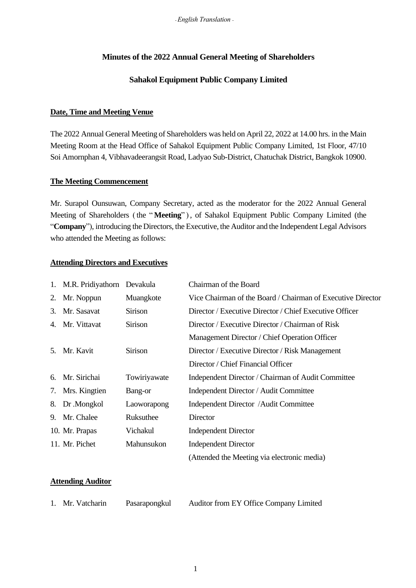### **Minutes of the 2022 Annual General Meeting of Shareholders**

## **Sahakol Equipment Public Company Limited**

### **Date, Time and Meeting Venue**

The 2022 Annual General Meeting of Shareholders was held on April 22, 2022 at 14.00 hrs. in the Main Meeting Room at the Head Office of Sahakol Equipment Public Company Limited, 1st Floor, 47/10 Soi Amornphan 4, Vibhavadeerangsit Road, Ladyao Sub-District, Chatuchak District, Bangkok 10900.

### **The Meeting Commencement**

Mr. Surapol Ounsuwan, Company Secretary, acted as the moderator for the 2022 Annual General Meeting of Shareholders (the " **Meeting**" ), of Sahakol Equipment Public Company Limited (the "**Company**"), introducing the Directors, the Executive, the Auditor and the Independent Legal Advisors who attended the Meeting as follows:

### **Attending Directors and Executives**

|    | 1. M.R. Pridiyathorn Devakula |                | Chairman of the Board                                       |
|----|-------------------------------|----------------|-------------------------------------------------------------|
| 2. | Mr. Noppun                    | Muangkote      | Vice Chairman of the Board / Chairman of Executive Director |
| 3. | Mr. Sasavat                   | <b>Sirison</b> | Director / Executive Director / Chief Executive Officer     |
| 4. | Mr. Vittavat                  | <b>Sirison</b> | Director / Executive Director / Chairman of Risk            |
|    |                               |                | Management Director / Chief Operation Officer               |
| 5. | Mr. Kavit                     | <b>Sirison</b> | Director / Executive Director / Risk Management             |
|    |                               |                | Director / Chief Financial Officer                          |
| 6. | Mr. Sirichai                  | Towiriyawate   | Independent Director / Chairman of Audit Committee          |
| 7. | Mrs. Kingtien                 | Bang-or        | Independent Director / Audit Committee                      |
| 8. | Dr.Mongkol                    | Laoworapong    | Independent Director / Audit Committee                      |
| 9. | Mr. Chalee                    | Ruksuthee      | Director                                                    |
|    | 10. Mr. Prapas                | Vichakul       | <b>Independent Director</b>                                 |
|    | 11. Mr. Pichet                | Mahunsukon     | <b>Independent Director</b>                                 |
|    |                               |                | (Attended the Meeting via electronic media)                 |

### **Attending Auditor**

| 1. Mr. Vatcharin | Pasarapongkul | Auditor from EY Office Company Limited |
|------------------|---------------|----------------------------------------|
|                  |               |                                        |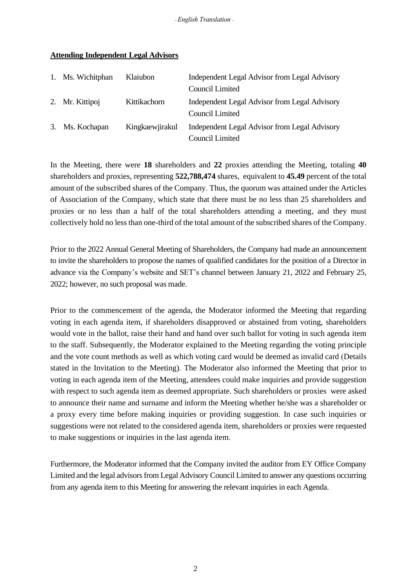|    | 1. Ms. Wichitphan | Klaiubon        | Independent Legal Advisor from Legal Advisory<br>Council Limited |
|----|-------------------|-----------------|------------------------------------------------------------------|
|    | 2. Mr. Kittipoj   | Kittikachorn    | Independent Legal Advisor from Legal Advisory<br>Council Limited |
| 3. | Ms. Kochapan      | Kingkaewjirakul | Independent Legal Advisor from Legal Advisory<br>Council Limited |

### **Attending Independent Legal Advisors**

In the Meeting, there were **18** shareholders and **22** proxies attending the Meeting, totaling **40** shareholders and proxies, representing **522,788,474** shares, equivalent to **45.49** percent of the total amount of the subscribed shares of the Company. Thus, the quorum was attained under the Articles of Association of the Company, which state that there must be no less than 25 shareholders and proxies or no less than a half of the total shareholders attending a meeting, and they must collectively hold no less than one-third of the total amount of the subscribed shares of the Company.

Prior to the 2022 Annual General Meeting of Shareholders, the Company had made an announcement to invite the shareholders to propose the names of qualified candidates for the position of a Director in advance via the Company's website and SET's channel between January 21, 2022 and February 25, 2022; however, no such proposal was made.

Prior to the commencement of the agenda, the Moderator informed the Meeting that regarding voting in each agenda item, if shareholders disapproved or abstained from voting, shareholders would vote in the ballot, raise their hand and hand over such ballot for voting in such agenda item to the staff. Subsequently, the Moderator explained to the Meeting regarding the voting principle and the vote count methods as well as which voting card would be deemed as invalid card (Details stated in the Invitation to the Meeting). The Moderator also informed the Meeting that prior to voting in each agenda item of the Meeting, attendees could make inquiries and provide suggestion with respect to such agenda item as deemed appropriate. Such shareholders or proxies were asked to announce their name and surname and inform the Meeting whether he/she was a shareholder or a proxy every time before making inquiries or providing suggestion. In case such inquiries or suggestions were not related to the considered agenda item, shareholders or proxies were requested to make suggestions or inquiries in the last agenda item.

Furthermore, the Moderator informed that the Company invited the auditor from EY Office Company Limited and the legal advisors from Legal Advisory Council Limited to answer any questions occurring from any agenda item to this Meeting for answering the relevant inquiries in each Agenda.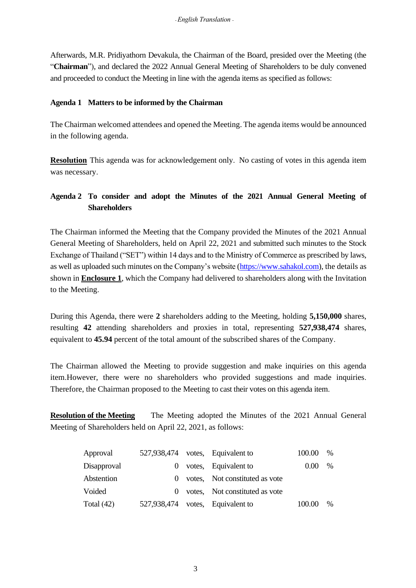Afterwards, M.R. Pridiyathorn Devakula, the Chairman of the Board, presided over the Meeting (the "**Chairman**"), and declared the 2022 Annual General Meeting of Shareholders to be duly convened and proceeded to conduct the Meeting in line with the agenda items as specified as follows:

## **Agenda 1 Matters to be informed by the Chairman**

The Chairman welcomed attendees and opened the Meeting. The agenda items would be announced in the following agenda.

**Resolution** This agenda was for acknowledgement only. No casting of votes in this agenda item was necessary.

# **Agenda 2 To consider and adopt the Minutes of the 2021 Annual General Meeting of Shareholders**

The Chairman informed the Meeting that the Company provided the Minutes of the 2021 Annual General Meeting of Shareholders, held on April 22, 2021 and submitted such minutes to the Stock Exchange of Thailand ("SET") within 14 days and to the Ministry of Commerce as prescribed by laws, as well as uploaded such minutes on the Company's website [\(https://www.sahakol.com\)](https://www.sahakol.com/), the details as shown in **Enclosure 1**, which the Company had delivered to shareholders along with the Invitation to the Meeting.

During this Agenda, there were **2** shareholders adding to the Meeting, holding **5,150,000** shares, resulting **42** attending shareholders and proxies in total, representing **527,938,474** shares, equivalent to **45.94** percent of the total amount of the subscribed shares of the Company.

The Chairman allowed the Meeting to provide suggestion and make inquiries on this agenda item.However, there were no shareholders who provided suggestions and made inquiries. Therefore, the Chairman proposed to the Meeting to cast their votes on this agenda item.

**Resolution of the Meeting** The Meeting adopted the Minutes of the 2021 Annual General Meeting of Shareholders held on April 22, 2021, as follows:

| Approval     |          | 527,938,474 votes, Equivalent to | 100.00            | $\%$ |
|--------------|----------|----------------------------------|-------------------|------|
| Disapproval  | $\theta$ | votes, Equivalent to             | 0.00 <sub>1</sub> | $\%$ |
| Abstention   |          | 0 votes, Not constituted as vote |                   |      |
| Voided       |          | 0 votes, Not constituted as vote |                   |      |
| Total $(42)$ |          | 527,938,474 votes, Equivalent to | 100.00            | %    |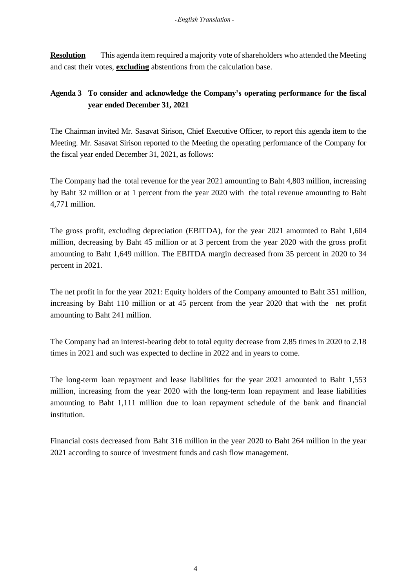**Resolution** This agenda item required a majority vote of shareholders who attended the Meeting and cast their votes, **excluding** abstentions from the calculation base.

# **Agenda 3 To consider and acknowledge the Company's operating performance for the fiscal year ended December 31, 2021**

The Chairman invited Mr. Sasavat Sirison, Chief Executive Officer, to report this agenda item to the Meeting. Mr. Sasavat Sirison reported to the Meeting the operating performance of the Company for the fiscal year ended December 31, 2021, as follows:

The Company had the total revenue for the year 2021 amounting to Baht 4,803 million, increasing by Baht 32 million or at 1 percent from the year 2020 with the total revenue amounting to Baht 4,771 million.

The gross profit, excluding depreciation (EBITDA), for the year 2021 amounted to Baht 1,604 million, decreasing by Baht 45 million or at 3 percent from the year 2020 with the gross profit amounting to Baht 1,649 million. The EBITDA margin decreased from 35 percent in 2020 to 34 percent in 2021.

The net profit in for the year 2021: Equity holders of the Company amounted to Baht 351 million, increasing by Baht 110 million or at 45 percent from the year 2020 that with the net profit amounting to Baht 241 million.

The Company had an interest-bearing debt to total equity decrease from 2.85 times in 2020 to 2.18 times in 2021 and such was expected to decline in 2022 and in years to come.

The long-term loan repayment and lease liabilities for the year 2021 amounted to Baht 1,553 million, increasing from the year 2020 with the long-term loan repayment and lease liabilities amounting to Baht 1,111 million due to loan repayment schedule of the bank and financial institution.

Financial costs decreased from Baht 316 million in the year 2020 to Baht 264 million in the year 2021 according to source of investment funds and cash flow management.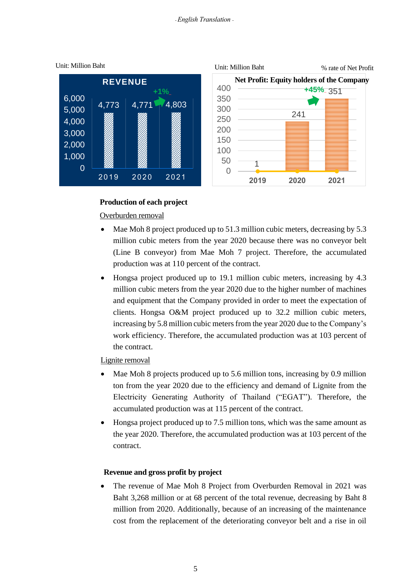

### **Production of each project**

### Overburden removal

- Mae Moh 8 project produced up to 51.3 million cubic meters, decreasing by 5.3 million cubic meters from the year 2020 because there was no conveyor belt (Line B conveyor) from Mae Moh 7 project. Therefore, the accumulated production was at 110 percent of the contract.
- Hongsa project produced up to 19.1 million cubic meters, increasing by 4.3 million cubic meters from the year 2020 due to the higher number of machines and equipment that the Company provided in order to meet the expectation of clients. Hongsa O&M project produced up to 32.2 million cubic meters, increasing by 5.8 million cubic meters from the year 2020 due to the Company's work efficiency. Therefore, the accumulated production was at 103 percent of the contract.

### Lignite removal

- Mae Moh 8 projects produced up to 5.6 million tons, increasing by 0.9 million ton from the year 2020 due to the efficiency and demand of Lignite from the Electricity Generating Authority of Thailand ("EGAT"). Therefore, the accumulated production was at 115 percent of the contract.
- Hongsa project produced up to 7.5 million tons, which was the same amount as the year 2020. Therefore, the accumulated production was at 103 percent of the contract.

### **Revenue and gross profit by project**

• The revenue of Mae Moh 8 Project from Overburden Removal in 2021 was Baht 3,268 million or at 68 percent of the total revenue, decreasing by Baht 8 million from 2020. Additionally, because of an increasing of the maintenance cost from the replacement of the deteriorating conveyor belt and a rise in oil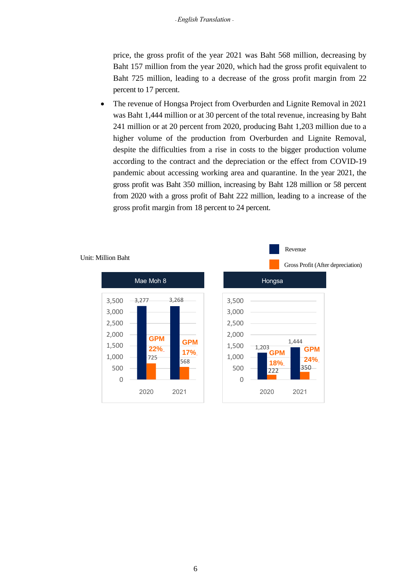price, the gross profit of the year 2021 was Baht 568 million, decreasing by Baht 157 million from the year 2020, which had the gross profit equivalent to Baht 725 million, leading to a decrease of the gross profit margin from 22 percent to 17 percent.

• The revenue of Hongsa Project from Overburden and Lignite Removal in 2021 was Baht 1,444 million or at 30 percent of the total revenue, increasing by Baht 241 million or at 20 percent from 2020, producing Baht 1,203 million due to a higher volume of the production from Overburden and Lignite Removal, despite the difficulties from a rise in costs to the bigger production volume according to the contract and the depreciation or the effect from COVID-19 pandemic about accessing working area and quarantine. In the year 2021, the gross profit was Baht 350 million, increasing by Baht 128 million or 58 percent from 2020 with a gross profit of Baht 222 million, leading to a increase of the gross profit margin from 18 percent to 24 percent.



#### Unit: Million Baht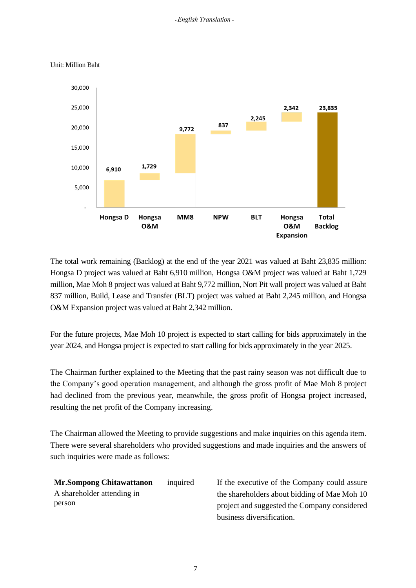

Unit: Million Baht

The total work remaining (Backlog) at the end of the year 2021 was valued at Baht 23,835 million: Hongsa D project was valued at Baht 6,910 million, Hongsa O&M project was valued at Baht 1,729 million, Mae Moh 8 project was valued at Baht 9,772 million, Nort Pit wall project was valued at Baht 837 million, Build, Lease and Transfer (BLT) project was valued at Baht 2,245 million, and Hongsa O&M Expansion project was valued at Baht 2,342 million.

For the future projects, Mae Moh 10 project is expected to start calling for bids approximately in the year 2024, and Hongsa project is expected to start calling for bids approximately in the year 2025.

The Chairman further explained to the Meeting that the past rainy season was not difficult due to the Company's good operation management, and although the gross profit of Mae Moh 8 project had declined from the previous year, meanwhile, the gross profit of Hongsa project increased, resulting the net profit of the Company increasing.

The Chairman allowed the Meeting to provide suggestions and make inquiries on this agenda item. There were several shareholders who provided suggestions and made inquiries and the answers of such inquiries were made as follows:

**Mr.Sompong Chitawattanon** A shareholder attending in person

inquired If the executive of the Company could assure the shareholders about bidding of Mae Moh 10 project and suggested the Company considered business diversification.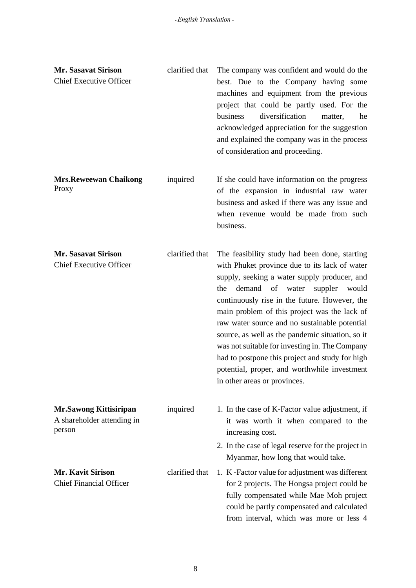| <b>Mr. Sasavat Sirison</b><br><b>Chief Executive Officer</b>          | clarified that | The company was confident and would do the<br>best. Due to the Company having some<br>machines and equipment from the previous<br>project that could be partly used. For the<br>diversification<br>business<br>matter,<br>he<br>acknowledged appreciation for the suggestion<br>and explained the company was in the process<br>of consideration and proceeding.                                                                                                                                                                                                                  |
|-----------------------------------------------------------------------|----------------|-----------------------------------------------------------------------------------------------------------------------------------------------------------------------------------------------------------------------------------------------------------------------------------------------------------------------------------------------------------------------------------------------------------------------------------------------------------------------------------------------------------------------------------------------------------------------------------|
| <b>Mrs.Reweewan Chaikong</b><br>Proxy                                 | inquired       | If she could have information on the progress<br>of the expansion in industrial raw water<br>business and asked if there was any issue and<br>when revenue would be made from such<br>business.                                                                                                                                                                                                                                                                                                                                                                                   |
| <b>Mr. Sasavat Sirison</b><br><b>Chief Executive Officer</b>          | clarified that | The feasibility study had been done, starting<br>with Phuket province due to its lack of water<br>supply, seeking a water supply producer, and<br>the demand of water suppler<br>would<br>continuously rise in the future. However, the<br>main problem of this project was the lack of<br>raw water source and no sustainable potential<br>source, as well as the pandemic situation, so it<br>was not suitable for investing in. The Company<br>had to postpone this project and study for high<br>potential, proper, and worthwhile investment<br>in other areas or provinces. |
| <b>Mr.Sawong Kittisiripan</b><br>A shareholder attending in<br>person | inquired       | 1. In the case of K-Factor value adjustment, if<br>it was worth it when compared to the<br>increasing cost.                                                                                                                                                                                                                                                                                                                                                                                                                                                                       |
|                                                                       |                | 2. In the case of legal reserve for the project in<br>Myanmar, how long that would take.                                                                                                                                                                                                                                                                                                                                                                                                                                                                                          |
| <b>Mr. Kavit Sirison</b><br><b>Chief Financial Officer</b>            | clarified that | 1. K - Factor value for adjustment was different<br>for 2 projects. The Hongsa project could be<br>fully compensated while Mae Moh project<br>could be partly compensated and calculated<br>from interval, which was more or less 4                                                                                                                                                                                                                                                                                                                                               |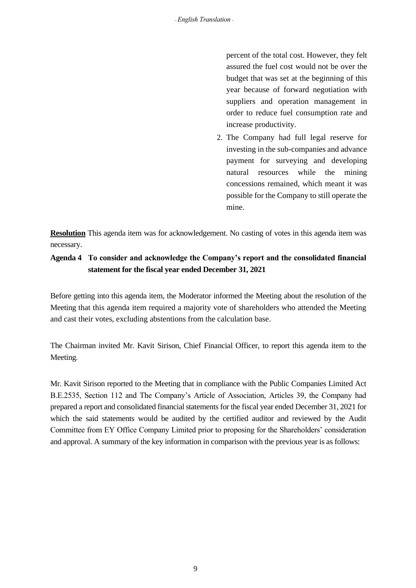percent of the total cost. However, they felt assured the fuel cost would not be over the budget that was set at the beginning of this year because of forward negotiation with suppliers and operation management in order to reduce fuel consumption rate and increase productivity.

2. The Company had full legal reserve for investing in the sub-companies and advance payment for surveying and developing natural resources while the mining concessions remained, which meant it was possible for the Company to still operate the mine.

**Resolution** This agenda item was for acknowledgement. No casting of votes in this agenda item was necessary.

# **Agenda 4 To consider and acknowledge the Company's report and the consolidated financial statement for the fiscal year ended December 31, 2021**

Before getting into this agenda item, the Moderator informed the Meeting about the resolution of the Meeting that this agenda item required a majority vote of shareholders who attended the Meeting and cast their votes, excluding abstentions from the calculation base.

The Chairman invited Mr. Kavit Sirison, Chief Financial Officer, to report this agenda item to the Meeting.

Mr. Kavit Sirison reported to the Meeting that in compliance with the Public Companies Limited Act B.E.2535, Section 112 and The Company's Article of Association, Articles 39, the Company had prepared a report and consolidated financial statements for the fiscal year ended December 31, 2021 for which the said statements would be audited by the certified auditor and reviewed by the Audit Committee from EY Office Company Limited prior to proposing for the Shareholders' consideration and approval. A summary of the key information in comparison with the previous year is as follows: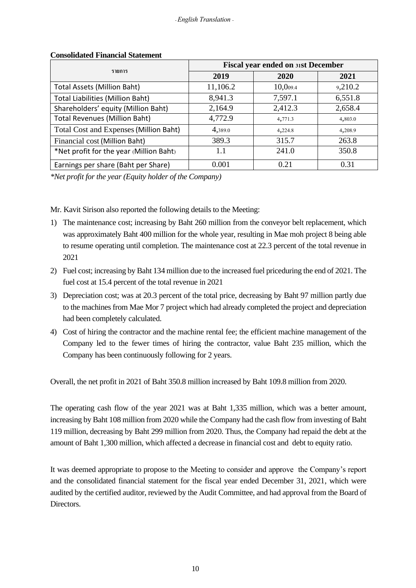|                                         | <b>Fiscal year ended on 31st December</b> |          |         |  |
|-----------------------------------------|-------------------------------------------|----------|---------|--|
| รายการ                                  | 2019                                      | 2020     | 2021    |  |
| <b>Total Assets (Million Baht)</b>      | 11,106.2                                  | 10,009.4 | 9,210.2 |  |
| <b>Total Liabilities (Million Baht)</b> | 8,941.3                                   | 7,597.1  | 6,551.8 |  |
| Shareholders' equity (Million Baht)     | 2,164.9                                   | 2,412.3  | 2,658.4 |  |
| <b>Total Revenues (Million Baht)</b>    | 4,772.9                                   | 4,771.3  | 4,803.0 |  |
| Total Cost and Expenses (Million Baht)  | 4,389.0                                   | 4,224.8  | 4,208.9 |  |
| Financial cost (Million Baht)           | 389.3                                     | 315.7    | 263.8   |  |
| *Net profit for the year (Million Baht) | 1.1                                       | 241.0    | 350.8   |  |
| Earnings per share (Baht per Share)     | 0.001                                     | 0.21     | 0.31    |  |

### **Consolidated Financial Statement**

*\*Net profit for the year (Equity holder of the Company)*

Mr. Kavit Sirison also reported the following details to the Meeting:

- 1) The maintenance cost; increasing by Baht 260 million from the conveyor belt replacement, which was approximately Baht 400 million for the whole year, resulting in Mae moh project 8 being able to resume operating until completion. The maintenance cost at 22.3 percent of the total revenue in 2021
- 2) Fuel cost; increasing by Baht 134 million due to the increased fuel priceduring the end of 2021. The fuel cost at 15.4 percent of the total revenue in 2021
- 3) Depreciation cost; was at 20.3 percent of the total price, decreasing by Baht 97 million partly due to the machines from Mae Mor 7 project which had already completed the project and depreciation had been completely calculated.
- 4) Cost of hiring the contractor and the machine rental fee; the efficient machine management of the Company led to the fewer times of hiring the contractor, value Baht 235 million, which the Company has been continuously following for 2 years.

Overall, the net profit in 2021 of Baht 350.8 million increased by Baht 109.8 million from 2020.

The operating cash flow of the year 2021 was at Baht 1,335 million, which was a better amount, increasing by Baht 108 million from 2020 while the Company had the cash flow from investing of Baht 119 million, decreasing by Baht 299 million from 2020. Thus, the Company had repaid the debt at the amount of Baht 1,300 million, which affected a decrease in financial cost and debt to equity ratio.

It was deemed appropriate to propose to the Meeting to consider and approve the Company's report and the consolidated financial statement for the fiscal year ended December 31, 2021, which were audited by the certified auditor, reviewed by the Audit Committee, and had approval from the Board of **Directors**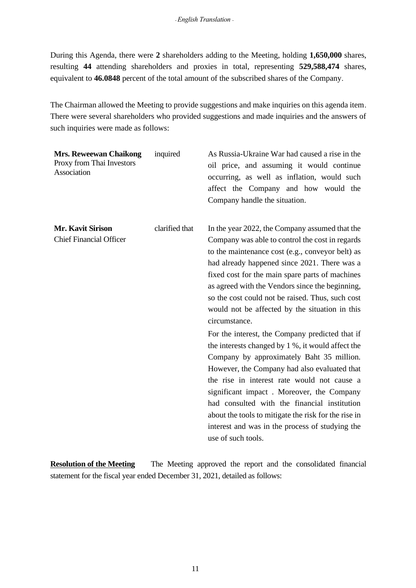During this Agenda, there were **2** shareholders adding to the Meeting, holding **1,650,000** shares, resulting **44** attending shareholders and proxies in total, representing **529,588,474** shares, equivalent to **46.0848** percent of the total amount of the subscribed shares of the Company.

The Chairman allowed the Meeting to provide suggestions and make inquiries on this agenda item. There were several shareholders who provided suggestions and made inquiries and the answers of such inquiries were made as follows:

| <b>Mrs. Reweewan Chaikong</b><br>Proxy from Thai Investors<br>Association | inquired       | As Russia-Ukraine War had caused a rise in the<br>oil price, and assuming it would continue<br>occurring, as well as inflation, would such<br>affect the Company and how would the<br>Company handle the situation.                                                                                                                                                                                                                                                                                                                                                                                                                                                                                                                                                                                                                                                                                                  |
|---------------------------------------------------------------------------|----------------|----------------------------------------------------------------------------------------------------------------------------------------------------------------------------------------------------------------------------------------------------------------------------------------------------------------------------------------------------------------------------------------------------------------------------------------------------------------------------------------------------------------------------------------------------------------------------------------------------------------------------------------------------------------------------------------------------------------------------------------------------------------------------------------------------------------------------------------------------------------------------------------------------------------------|
| <b>Mr. Kavit Sirison</b><br><b>Chief Financial Officer</b>                | clarified that | In the year 2022, the Company assumed that the<br>Company was able to control the cost in regards<br>to the maintenance cost (e.g., conveyor belt) as<br>had already happened since 2021. There was a<br>fixed cost for the main spare parts of machines<br>as agreed with the Vendors since the beginning,<br>so the cost could not be raised. Thus, such cost<br>would not be affected by the situation in this<br>circumstance.<br>For the interest, the Company predicted that if<br>the interests changed by 1 %, it would affect the<br>Company by approximately Baht 35 million.<br>However, the Company had also evaluated that<br>the rise in interest rate would not cause a<br>significant impact. Moreover, the Company<br>had consulted with the financial institution<br>about the tools to mitigate the risk for the rise in<br>interest and was in the process of studying the<br>use of such tools. |

**Resolution of the Meeting** The Meeting approved the report and the consolidated financial statement for the fiscal year ended December 31, 2021, detailed as follows: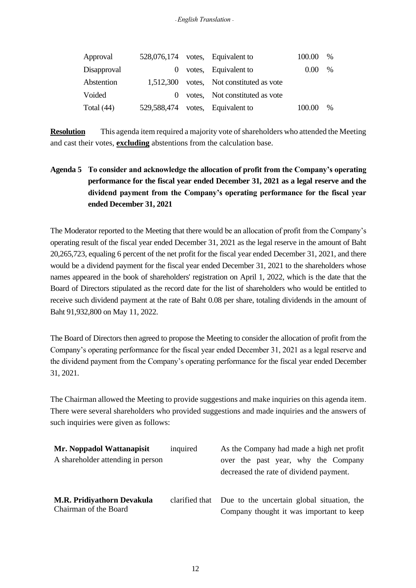| Approval    |          | 528,076,174 votes, Equivalent to         | 100.00 | $\%$ |
|-------------|----------|------------------------------------------|--------|------|
| Disapproval | $\theta$ | votes, Equivalent to                     | 0.00   | $\%$ |
| Abstention  |          | 1,512,300 votes, Not constituted as vote |        |      |
| Voided      | $\Omega$ | votes, Not constituted as vote           |        |      |
| Total (44)  |          | 529,588,474 votes, Equivalent to         | 100.00 | $\%$ |

**Resolution** This agenda item required a majority vote of shareholders who attended the Meeting and cast their votes, **excluding** abstentions from the calculation base.

# **Agenda 5 To consider and acknowledge the allocation of profit from the Company's operating performance for the fiscal year ended December 31, 2021 as a legal reserve and the dividend payment from the Company's operating performance for the fiscal year ended December 31, 2021**

The Moderator reported to the Meeting that there would be an allocation of profit from the Company's operating result of the fiscal year ended December 31, 2021 as the legal reserve in the amount of Baht 20,265,723, equaling 6 percent of the net profit for the fiscal year ended December 31, 2021, and there would be a dividend payment for the fiscal year ended December 31, 2021 to the shareholders whose names appeared in the book of shareholders' registration on April 1, 2022, which is the date that the Board of Directors stipulated as the record date for the list of shareholders who would be entitled to receive such dividend payment at the rate of Baht 0.08 per share, totaling dividends in the amount of Baht 91,932,800 on May 11, 2022.

The Board of Directors then agreed to propose the Meeting to consider the allocation of profit from the Company's operating performance for the fiscal year ended December 31, 2021 as a legal reserve and the dividend payment from the Company's operating performance for the fiscal year ended December 31, 2021.

The Chairman allowed the Meeting to provide suggestions and make inquiries on this agenda item. There were several shareholders who provided suggestions and made inquiries and the answers of such inquiries were given as follows:

| Mr. Noppadol Wattanapisit                                  | inquired | As the Company had made a high net profit                                                             |
|------------------------------------------------------------|----------|-------------------------------------------------------------------------------------------------------|
| A shareholder attending in person                          |          | over the past year, why the Company<br>decreased the rate of dividend payment.                        |
| <b>M.R. Pridiyathorn Devakula</b><br>Chairman of the Board |          | clarified that Due to the uncertain global situation, the<br>Company thought it was important to keep |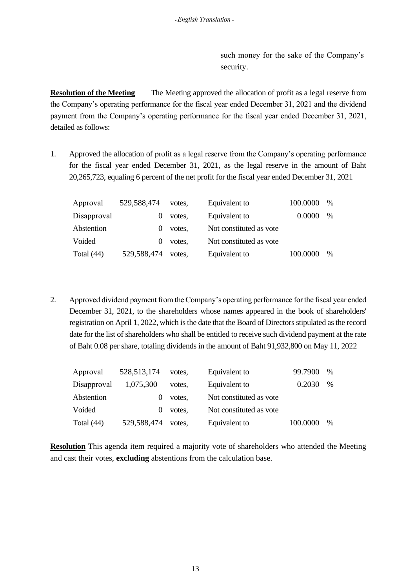such money for the sake of the Company's security.

**Resolution of the Meeting** The Meeting approved the allocation of profit as a legal reserve from the Company's operating performance for the fiscal year ended December 31, 2021 and the dividend payment from the Company's operating performance for the fiscal year ended December 31, 2021, detailed as follows:

1. Approved the allocation of profit as a legal reserve from the Company's operating performance for the fiscal year ended December 31, 2021, as the legal reserve in the amount of Baht 20,265,723, equaling 6 percent of the net profit for the fiscal year ended December 31, 2021

| Approval     | 529,588,474 | votes. | Equivalent to           | 100.0000 | $\%$ |
|--------------|-------------|--------|-------------------------|----------|------|
| Disapproval  |             | votes. | Equivalent to           | 0.0000   | $\%$ |
| Abstention   |             | votes. | Not constituted as vote |          |      |
| Voided       |             | votes. | Not constituted as vote |          |      |
| Total $(44)$ | 529,588,474 | votes. | Equivalent to           | 100.0000 | $\%$ |

2. Approved dividend payment from the Company's operating performance for the fiscal year ended December 31, 2021, to the shareholders whose names appeared in the book of shareholders' registration on April 1, 2022, which is the date that the Board of Directors stipulated as the record date for the list of shareholders who shall be entitled to receive such dividend payment at the rate of Baht 0.08 per share, totaling dividends in the amount of Baht 91,932,800 on May 11, 2022

| Approval     | 528, 513, 174 | votes. | Equivalent to           | 99.7900  | $\%$ |
|--------------|---------------|--------|-------------------------|----------|------|
| Disapproval  | 1,075,300     | votes. | Equivalent to           | 0.2030   | $\%$ |
| Abstention   |               | votes, | Not constituted as vote |          |      |
| Voided       | $\theta$      | votes, | Not constituted as vote |          |      |
| Total $(44)$ | 529,588,474   | votes. | Equivalent to           | 100.0000 | $\%$ |

**Resolution** This agenda item required a majority vote of shareholders who attended the Meeting and cast their votes, **excluding** abstentions from the calculation base.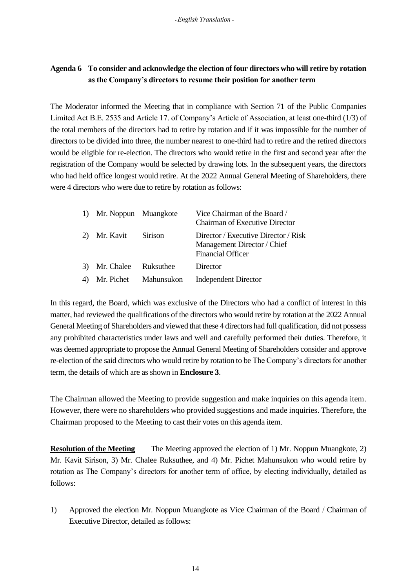# **Agenda 6 To consider and acknowledge the election of four directors who will retire by rotation as the Company's directors to resume their position for another term**

The Moderator informed the Meeting that in compliance with Section 71 of the Public Companies Limited Act B.E. 2535 and Article 17. of Company's Article of Association, at least one-third (1/3) of the total members of the directors had to retire by rotation and if it was impossible for the number of directors to be divided into three, the number nearest to one-third had to retire and the retired directors would be eligible for re-election. The directors who would retire in the first and second year after the registration of the Company would be selected by drawing lots. In the subsequent years, the directors who had held office longest would retire. At the 2022 Annual General Meeting of Shareholders, there were 4 directors who were due to retire by rotation as follows:

|    | 1) Mr. Noppun Muangkote |                       | Vice Chairman of the Board /<br><b>Chairman of Executive Director</b>                           |
|----|-------------------------|-----------------------|-------------------------------------------------------------------------------------------------|
| 2) | Mr. Kavit Sirison       |                       | Director / Executive Director / Risk<br>Management Director / Chief<br><b>Financial Officer</b> |
| 3) | Mr. Chalee              | Ruksuthee             | Director                                                                                        |
|    |                         | Mr. Pichet Mahunsukon | <b>Independent Director</b>                                                                     |

In this regard, the Board, which was exclusive of the Directors who had a conflict of interest in this matter, had reviewed the qualifications of the directors who would retire by rotation at the 2022 Annual General Meeting of Shareholders and viewed that these 4 directors had full qualification, did not possess any prohibited characteristics under laws and well and carefully performed their duties. Therefore, it was deemed appropriate to propose the Annual General Meeting of Shareholders consider and approve re-election of the said directors who would retire by rotation to be The Company's directors for another term, the details of which are as shown in **Enclosure 3**.

The Chairman allowed the Meeting to provide suggestion and make inquiries on this agenda item. However, there were no shareholders who provided suggestions and made inquiries. Therefore, the Chairman proposed to the Meeting to cast their votes on this agenda item.

**Resolution of the Meeting** The Meeting approved the election of 1) Mr. Noppun Muangkote, 2) Mr. Kavit Sirison, 3) Mr. Chalee Ruksuthee, and 4) Mr. Pichet Mahunsukon who would retire by rotation as The Company's directors for another term of office, by electing individually, detailed as follows:

1) Approved the election Mr. Noppun Muangkote as Vice Chairman of the Board / Chairman of Executive Director, detailed as follows: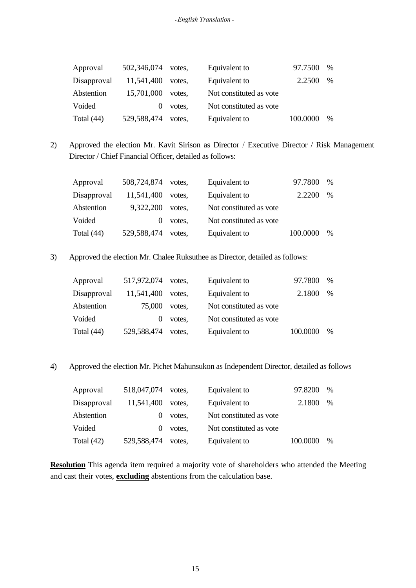| Approval     | 502,346,074 | votes. | Equivalent to           | 97.7500  | $\%$ |
|--------------|-------------|--------|-------------------------|----------|------|
| Disapproval  | 11,541,400  | votes. | Equivalent to           | 2.2500   | $\%$ |
| Abstention   | 15,701,000  | votes. | Not constituted as vote |          |      |
| Voided       |             | votes. | Not constituted as vote |          |      |
| Total $(44)$ | 529,588,474 | votes. | Equivalent to           | 100.0000 | $\%$ |

2) Approved the election Mr. Kavit Sirison as Director / Executive Director / Risk Management Director / Chief Financial Officer, detailed as follows:

| Approval     | 508,724,874 votes, |        | Equivalent to           | 97.7800  | $\%$ |
|--------------|--------------------|--------|-------------------------|----------|------|
| Disapproval  | 11,541,400         | votes. | Equivalent to           | 2.2200   | $\%$ |
| Abstention   | 9,322,200          | votes. | Not constituted as vote |          |      |
| Voided       |                    | votes, | Not constituted as vote |          |      |
| Total $(44)$ | 529,588,474        | votes. | Equivalent to           | 100.0000 | $\%$ |

3) Approved the election Mr. Chalee Ruksuthee as Director, detailed as follows:

| Approval     | 517,972,074 | votes. | Equivalent to           | 97.7800  | $\%$ |
|--------------|-------------|--------|-------------------------|----------|------|
| Disapproval  | 11,541,400  | votes. | Equivalent to           | 2.1800   | $\%$ |
| Abstention   | 75,000      | votes. | Not constituted as vote |          |      |
| Voided       | $\theta$    | votes, | Not constituted as vote |          |      |
| Total $(44)$ | 529,588,474 | votes. | Equivalent to           | 100.0000 | $\%$ |

4) Approved the election Mr. Pichet Mahunsukon as Independent Director, detailed as follows

| Approval     | 518,047,074 | votes. | Equivalent to           | 97.8200  | $\%$          |
|--------------|-------------|--------|-------------------------|----------|---------------|
| Disapproval  | 11,541,400  | votes. | Equivalent to           | 2.1800   | $\%$          |
| Abstention   |             | votes, | Not constituted as vote |          |               |
| Voided       |             | votes, | Not constituted as vote |          |               |
| Total $(42)$ | 529,588,474 | votes. | Equivalent to           | 100.0000 | $\frac{0}{0}$ |

**Resolution** This agenda item required a majority vote of shareholders who attended the Meeting and cast their votes, **excluding** abstentions from the calculation base.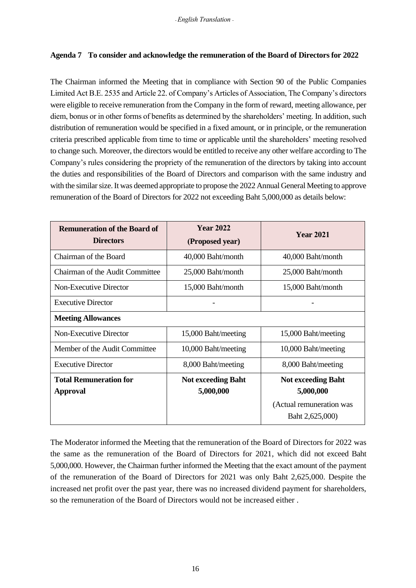## **Agenda 7 To consider and acknowledge the remuneration of the Board of Directors for 2022**

The Chairman informed the Meeting that in compliance with Section 90 of the Public Companies Limited Act B.E. 2535 and Article 22. of Company's Articles of Association, The Company's directors were eligible to receive remuneration from the Company in the form of reward, meeting allowance, per diem, bonus or in other forms of benefits as determined by the shareholders' meeting. In addition, such distribution of remuneration would be specified in a fixed amount, or in principle, or the remuneration criteria prescribed applicable from time to time or applicable until the shareholders' meeting resolved to change such. Moreover, the directors would be entitled to receive any other welfare according to The Company's rules considering the propriety of the remuneration of the directors by taking into account the duties and responsibilities of the Board of Directors and comparison with the same industry and with the similar size. It was deemed appropriate to propose the 2022 Annual General Meeting to approve remuneration of the Board of Directors for 2022 not exceeding Baht 5,000,000 as details below:

| <b>Remuneration of the Board of</b><br><b>Directors</b> | <b>Year 2022</b><br>(Proposed year)    | <b>Year 2021</b>                            |
|---------------------------------------------------------|----------------------------------------|---------------------------------------------|
| Chairman of the Board                                   | 40,000 Baht/month                      | 40,000 Baht/month                           |
| Chairman of the Audit Committee                         | 25,000 Baht/month                      | 25,000 Baht/month                           |
| <b>Non-Executive Director</b>                           | 15,000 Baht/month                      | 15,000 Baht/month                           |
| <b>Executive Director</b>                               |                                        |                                             |
| <b>Meeting Allowances</b>                               |                                        |                                             |
| Non-Executive Director                                  | 15,000 Baht/meeting                    | 15,000 Baht/meeting                         |
| Member of the Audit Committee                           | 10,000 Baht/meeting                    | 10,000 Baht/meeting                         |
| <b>Executive Director</b>                               | 8,000 Baht/meeting                     | 8,000 Baht/meeting                          |
| <b>Total Remuneration for</b><br><b>Approval</b>        | <b>Not exceeding Baht</b><br>5,000,000 | <b>Not exceeding Baht</b><br>5,000,000      |
|                                                         |                                        | (Actual remuneration was<br>Baht 2,625,000) |

The Moderator informed the Meeting that the remuneration of the Board of Directors for 2022 was the same as the remuneration of the Board of Directors for 2021, which did not exceed Baht 5,000,000. However, the Chairman further informed the Meeting that the exact amount of the payment of the remuneration of the Board of Directors for 2021 was only Baht 2,625,000. Despite the increased net profit over the past year, there was no increased dividend payment for shareholders, so the remuneration of the Board of Directors would not be increased either .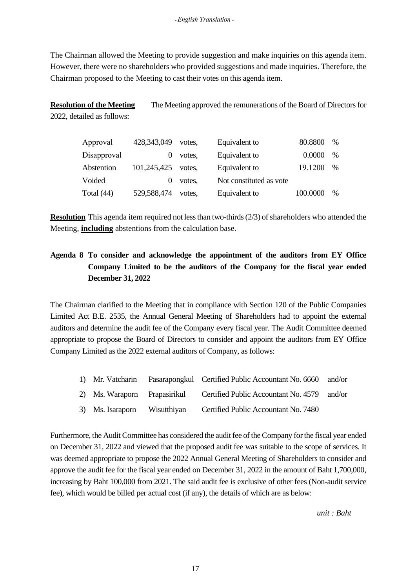The Chairman allowed the Meeting to provide suggestion and make inquiries on this agenda item. However, there were no shareholders who provided suggestions and made inquiries. Therefore, the Chairman proposed to the Meeting to cast their votes on this agenda item.

**Resolution of the Meeting** The Meeting approved the remunerations of the Board of Directors for 2022, detailed as follows:

| Approval     | 428,343,049 | votes. | Equivalent to           | 80.8800  | $\frac{0}{0}$ |
|--------------|-------------|--------|-------------------------|----------|---------------|
| Disapproval  |             | votes. | Equivalent to           | 0.0000   | $\%$          |
| Abstention   | 101,245,425 | votes. | Equivalent to           | 19.1200  | $\%$          |
| Voided       |             | votes, | Not constituted as vote |          |               |
| Total $(44)$ | 529,588,474 | votes. | Equivalent to           | 100.0000 | $\%$          |

**Resolution** This agenda item required not less than two-thirds (2/3) of shareholders who attended the Meeting, **including** abstentions from the calculation base.

# **Agenda 8 To consider and acknowledge the appointment of the auditors from EY Office Company Limited to be the auditors of the Company for the fiscal year ended December 31, 2022**

The Chairman clarified to the Meeting that in compliance with Section 120 of the Public Companies Limited Act B.E. 2535, the Annual General Meeting of Shareholders had to appoint the external auditors and determine the audit fee of the Company every fiscal year. The Audit Committee deemed appropriate to propose the Board of Directors to consider and appoint the auditors from EY Office Company Limited as the 2022 external auditors of Company, as follows:

| 1) Mr. Vatcharin             | Pasarapongkul Certified Public Accountant No. 6660 and/or |  |
|------------------------------|-----------------------------------------------------------|--|
| 2) Ms. Waraporn Prapasirikul | Certified Public Accountant No. 4579 and/or               |  |
| 3) Ms. Isaraporn Wisutthiyan | Certified Public Accountant No. 7480                      |  |

Furthermore, the Audit Committee has considered the audit fee of the Company for the fiscal year ended on December 31, 2022 and viewed that the proposed audit fee was suitable to the scope of services. It was deemed appropriate to propose the 2022 Annual General Meeting of Shareholders to consider and approve the audit fee for the fiscal year ended on December 31, 2022 in the amount of Baht 1,700,000, increasing by Baht 100,000 from 2021. The said audit fee is exclusive of other fees (Non-audit service fee), which would be billed per actual cost (if any), the details of which are as below:

*unit : Baht*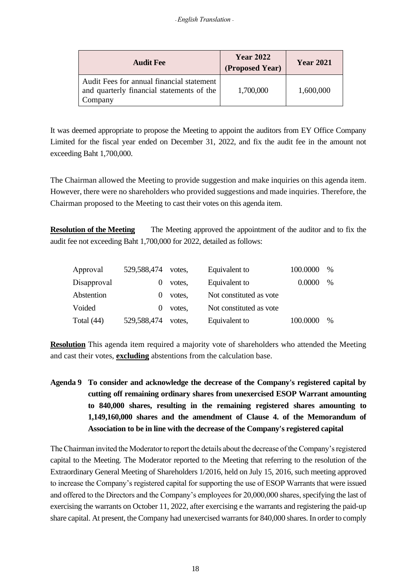| <b>Audit Fee</b>                                                                                  | <b>Year 2022</b><br>(Proposed Year) | <b>Year 2021</b> |
|---------------------------------------------------------------------------------------------------|-------------------------------------|------------------|
| Audit Fees for annual financial statement<br>and quarterly financial statements of the<br>Company | 1,700,000                           | 1,600,000        |

It was deemed appropriate to propose the Meeting to appoint the auditors from EY Office Company Limited for the fiscal year ended on December 31, 2022, and fix the audit fee in the amount not exceeding Baht 1,700,000.

The Chairman allowed the Meeting to provide suggestion and make inquiries on this agenda item. However, there were no shareholders who provided suggestions and made inquiries. Therefore, the Chairman proposed to the Meeting to cast their votes on this agenda item.

**Resolution of the Meeting** The Meeting approved the appointment of the auditor and to fix the audit fee not exceeding Baht 1,700,000 for 2022, detailed as follows:

| Approval     | 529,588,474 | votes. | Equivalent to           | 100.0000 | $\%$ |
|--------------|-------------|--------|-------------------------|----------|------|
| Disapproval  |             | votes. | Equivalent to           | 0.0000   | $\%$ |
| Abstention   |             | votes. | Not constituted as vote |          |      |
| Voided       |             | votes. | Not constituted as vote |          |      |
| Total $(44)$ | 529,588,474 | votes. | Equivalent to           | 100.0000 | $\%$ |

**Resolution** This agenda item required a majority vote of shareholders who attended the Meeting and cast their votes, **excluding** abstentions from the calculation base.

**Agenda 9 To consider and acknowledge the decrease of the Company's registered capital by cutting off remaining ordinary shares from unexercised ESOP Warrant amounting to 840,000 shares, resulting in the remaining registered shares amounting to 1,149,160,000 shares and the amendment of Clause 4. of the Memorandum of Association to be in line with the decrease of the Company's registered capital**

The Chairman invited the Moderator to report the details about the decrease of the Company's registered capital to the Meeting. The Moderator reported to the Meeting that referring to the resolution of the Extraordinary General Meeting of Shareholders 1/2016, held on July 15, 2016, such meeting approved to increase the Company's registered capital for supporting the use of ESOP Warrants that were issued and offered to the Directors and the Company's employees for 20,000,000 shares, specifying the last of exercising the warrants on October 11, 2022, after exercising e the warrants and registering the paid-up share capital. At present, the Company had unexercised warrants for 840,000 shares. In order to comply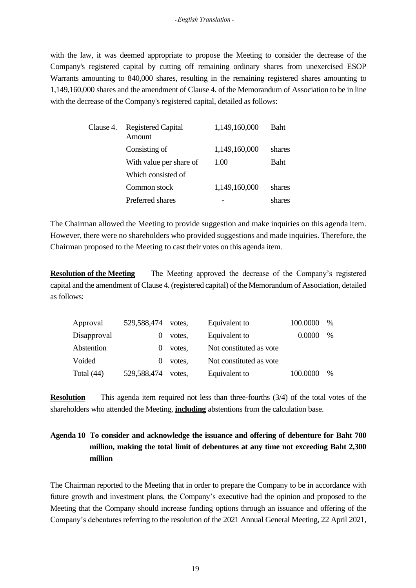with the law, it was deemed appropriate to propose the Meeting to consider the decrease of the Company's registered capital by cutting off remaining ordinary shares from unexercised ESOP Warrants amounting to 840,000 shares, resulting in the remaining registered shares amounting to 1,149,160,000 shares and the amendment of Clause 4. of the Memorandum of Association to be in line with the decrease of the Company's registered capital, detailed as follows:

| Clause 4. | <b>Registered Capital</b><br>Amount | 1,149,160,000 | <b>Baht</b> |
|-----------|-------------------------------------|---------------|-------------|
|           | Consisting of                       | 1,149,160,000 | shares      |
|           | With value per share of             | 1.00          | <b>Baht</b> |
|           | Which consisted of                  |               |             |
|           | Common stock                        | 1,149,160,000 | shares      |
|           | Preferred shares                    |               | shares      |

The Chairman allowed the Meeting to provide suggestion and make inquiries on this agenda item. However, there were no shareholders who provided suggestions and made inquiries. Therefore, the Chairman proposed to the Meeting to cast their votes on this agenda item.

**Resolution of the Meeting** The Meeting approved the decrease of the Company's registered capital and the amendment of Clause 4. (registered capital) of the Memorandum of Association, detailed as follows:

| Approval     | 529,588,474 | votes. | Equivalent to           | 100.0000 | $\%$ |
|--------------|-------------|--------|-------------------------|----------|------|
| Disapproval  |             | votes. | Equivalent to           | 0.0000   | $\%$ |
| Abstention   |             | votes, | Not constituted as vote |          |      |
| Voided       | $\theta$    | votes, | Not constituted as vote |          |      |
| Total $(44)$ | 529,588,474 | votes. | Equivalent to           | 100.0000 | $\%$ |

**Resolution** This agenda item required not less than three-fourths (3/4) of the total votes of the shareholders who attended the Meeting, **including** abstentions from the calculation base.

# **Agenda 10 To consider and acknowledge the issuance and offering of debenture for Baht 700 million, making the total limit of debentures at any time not exceeding Baht 2,300 million**

The Chairman reported to the Meeting that in order to prepare the Company to be in accordance with future growth and investment plans, the Company's executive had the opinion and proposed to the Meeting that the Company should increase funding options through an issuance and offering of the Company's debentures referring to the resolution of the 2021 Annual General Meeting, 22 April 2021,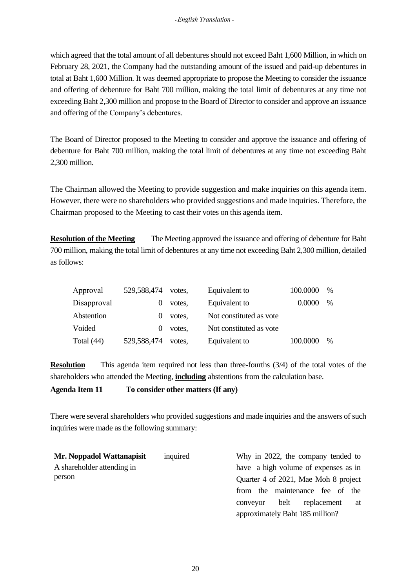which agreed that the total amount of all debentures should not exceed Baht 1,600 Million, in which on February 28, 2021, the Company had the outstanding amount of the issued and paid-up debentures in total at Baht 1,600 Million. It was deemed appropriate to propose the Meeting to consider the issuance and offering of debenture for Baht 700 million, making the total limit of debentures at any time not exceeding Baht 2,300 million and propose to the Board of Director to consider and approve an issuance and offering of the Company's debentures.

The Board of Director proposed to the Meeting to consider and approve the issuance and offering of debenture for Baht 700 million, making the total limit of debentures at any time not exceeding Baht 2,300 million.

The Chairman allowed the Meeting to provide suggestion and make inquiries on this agenda item. However, there were no shareholders who provided suggestions and made inquiries. Therefore, the Chairman proposed to the Meeting to cast their votes on this agenda item.

**Resolution of the Meeting** The Meeting approved the issuance and offering of debenture for Baht 700 million, making the total limit of debentures at any time not exceeding Baht 2,300 million, detailed as follows:

| Approval     | 529,588,474 | votes. | Equivalent to           | 100.0000 | $\%$ |
|--------------|-------------|--------|-------------------------|----------|------|
| Disapproval  |             | votes. | Equivalent to           | 0.0000   | $\%$ |
| Abstention   |             | votes. | Not constituted as vote |          |      |
| Voided       |             | votes, | Not constituted as vote |          |      |
| Total $(44)$ | 529,588,474 | votes. | Equivalent to           | 100.0000 | $\%$ |

**Resolution** This agenda item required not less than three-fourths (3/4) of the total votes of the shareholders who attended the Meeting, **including** abstentions from the calculation base.

**Agenda Item 11 To consider other matters (If any)**

There were several shareholders who provided suggestions and made inquiries and the answers of such inquiries were made as the following summary:

| Mr. Noppadol Wattanapisit  | inquired | Why in 2022, the company tended to    |
|----------------------------|----------|---------------------------------------|
| A shareholder attending in |          | have a high volume of expenses as in  |
| person                     |          | Quarter 4 of 2021, Mae Moh 8 project  |
|                            |          | from the maintenance fee of the       |
|                            |          | replacement<br>belt<br>conveyor<br>at |
|                            |          | approximately Baht 185 million?       |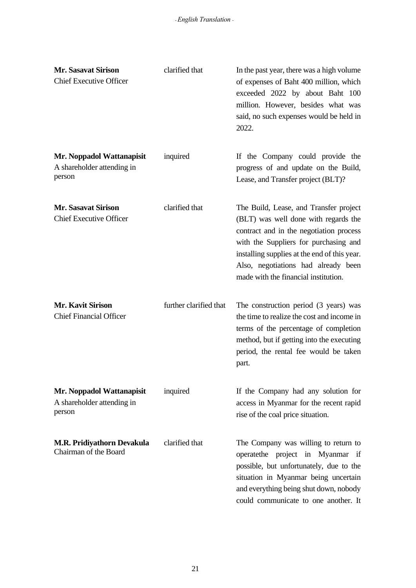| <b>Mr. Sasavat Sirison</b><br><b>Chief Executive Officer</b>      | clarified that         | In the past year, there was a high volume<br>of expenses of Baht 400 million, which<br>exceeded 2022 by about Baht 100<br>million. However, besides what was<br>said, no such expenses would be held in<br>2022.                                                                                  |
|-------------------------------------------------------------------|------------------------|---------------------------------------------------------------------------------------------------------------------------------------------------------------------------------------------------------------------------------------------------------------------------------------------------|
| Mr. Noppadol Wattanapisit<br>A shareholder attending in<br>person | inquired               | If the Company could provide the<br>progress of and update on the Build,<br>Lease, and Transfer project (BLT)?                                                                                                                                                                                    |
| <b>Mr. Sasavat Sirison</b><br><b>Chief Executive Officer</b>      | clarified that         | The Build, Lease, and Transfer project<br>(BLT) was well done with regards the<br>contract and in the negotiation process<br>with the Suppliers for purchasing and<br>installing supplies at the end of this year.<br>Also, negotiations had already been<br>made with the financial institution. |
| <b>Mr. Kavit Sirison</b><br><b>Chief Financial Officer</b>        | further clarified that | The construction period (3 years) was<br>the time to realize the cost and income in<br>terms of the percentage of completion<br>method, but if getting into the executing<br>period, the rental fee would be taken<br>part.                                                                       |
| Mr. Noppadol Wattanapisit<br>A shareholder attending in<br>person | inquired               | If the Company had any solution for<br>access in Myanmar for the recent rapid<br>rise of the coal price situation.                                                                                                                                                                                |
| <b>M.R. Pridiyathorn Devakula</b><br>Chairman of the Board        | clarified that         | The Company was willing to return to<br>operatethe project in Myanmar if<br>possible, but unfortunately, due to the<br>situation in Myanmar being uncertain<br>and everything being shut down, nobody<br>could communicate to one another. It                                                     |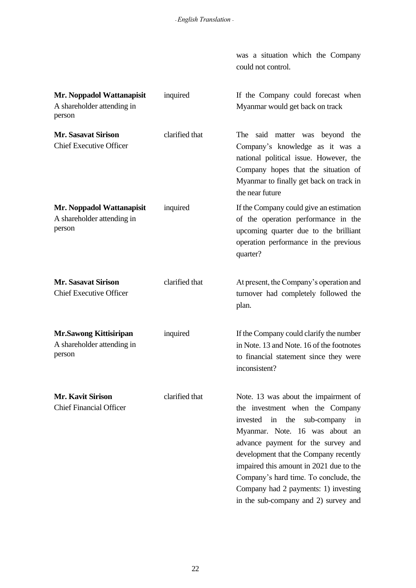was a situation which the Company could not control.

| Mr. Noppadol Wattanapisit<br>A shareholder attending in<br>person     | inquired       | If the Company could forecast when<br>Myanmar would get back on track                                                                                                                                                                                                                                                                                                                                |
|-----------------------------------------------------------------------|----------------|------------------------------------------------------------------------------------------------------------------------------------------------------------------------------------------------------------------------------------------------------------------------------------------------------------------------------------------------------------------------------------------------------|
| <b>Mr. Sasavat Sirison</b><br><b>Chief Executive Officer</b>          | clarified that | The said matter was beyond the<br>Company's knowledge as it was a<br>national political issue. However, the<br>Company hopes that the situation of<br>Myanmar to finally get back on track in<br>the near future                                                                                                                                                                                     |
| Mr. Noppadol Wattanapisit<br>A shareholder attending in<br>person     | inquired       | If the Company could give an estimation<br>of the operation performance in the<br>upcoming quarter due to the brilliant<br>operation performance in the previous<br>quarter?                                                                                                                                                                                                                         |
| <b>Mr. Sasavat Sirison</b><br><b>Chief Executive Officer</b>          | clarified that | At present, the Company's operation and<br>turnover had completely followed the<br>plan.                                                                                                                                                                                                                                                                                                             |
| <b>Mr.Sawong Kittisiripan</b><br>A shareholder attending in<br>person | inquired       | If the Company could clarify the number<br>in Note. 13 and Note. 16 of the footnotes<br>to financial statement since they were<br>inconsistent?                                                                                                                                                                                                                                                      |
| <b>Mr. Kavit Sirison</b><br><b>Chief Financial Officer</b>            | clarified that | Note. 13 was about the impairment of<br>the investment when the Company<br>in the<br>invested<br>sub-company in<br>Myanmar. Note. 16 was about an<br>advance payment for the survey and<br>development that the Company recently<br>impaired this amount in 2021 due to the<br>Company's hard time. To conclude, the<br>Company had 2 payments: 1) investing<br>in the sub-company and 2) survey and |